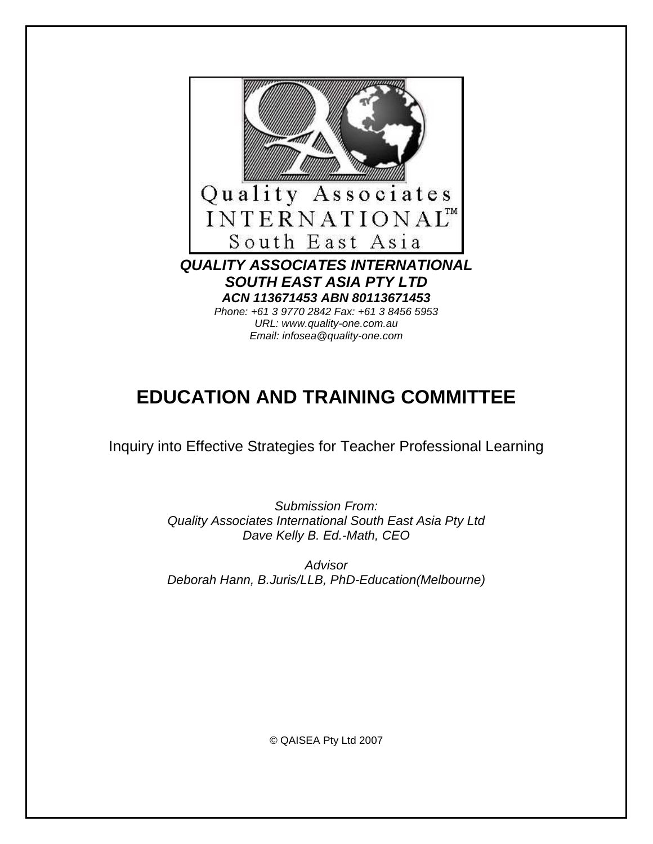

# **EDUCATION AND TRAINING COMMITTEE**

Inquiry into Effective Strategies for Teacher Professional Learning

Submission From: Quality Associates International South East Asia Pty Ltd Dave Kelly B. Ed.-Math, CEO

**Advisor** Deborah Hann, B.Juris/LLB, PhD-Education(Melbourne)

© QAISEA Pty Ltd 2007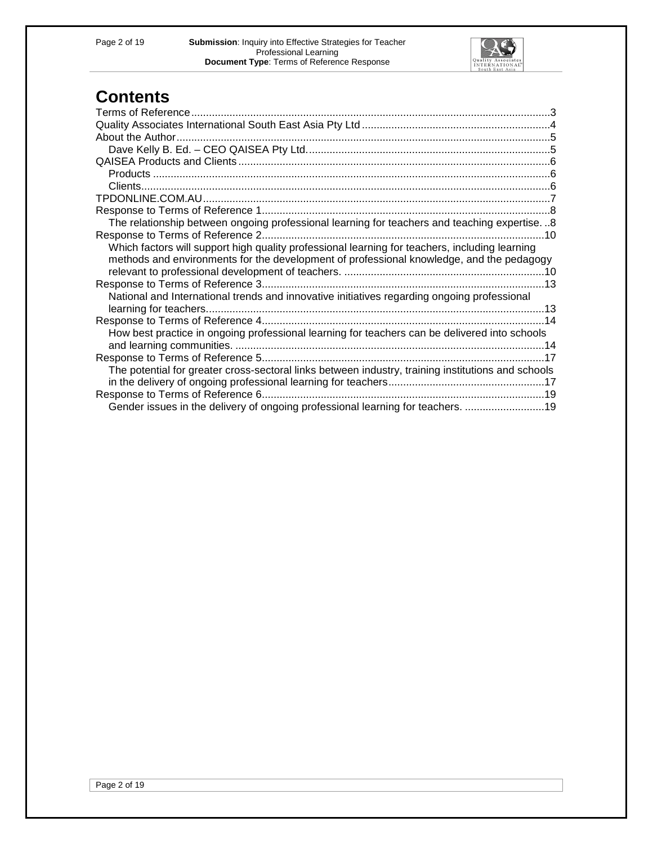

# **Contents**

| The relationship between ongoing professional learning for teachers and teaching expertise8        |  |
|----------------------------------------------------------------------------------------------------|--|
|                                                                                                    |  |
| Which factors will support high quality professional learning for teachers, including learning     |  |
| methods and environments for the development of professional knowledge, and the pedagogy           |  |
|                                                                                                    |  |
|                                                                                                    |  |
| National and International trends and innovative initiatives regarding ongoing professional        |  |
|                                                                                                    |  |
|                                                                                                    |  |
| How best practice in ongoing professional learning for teachers can be delivered into schools      |  |
|                                                                                                    |  |
|                                                                                                    |  |
| The potential for greater cross-sectoral links between industry, training institutions and schools |  |
|                                                                                                    |  |
|                                                                                                    |  |
| Gender issues in the delivery of ongoing professional learning for teachers. 19                    |  |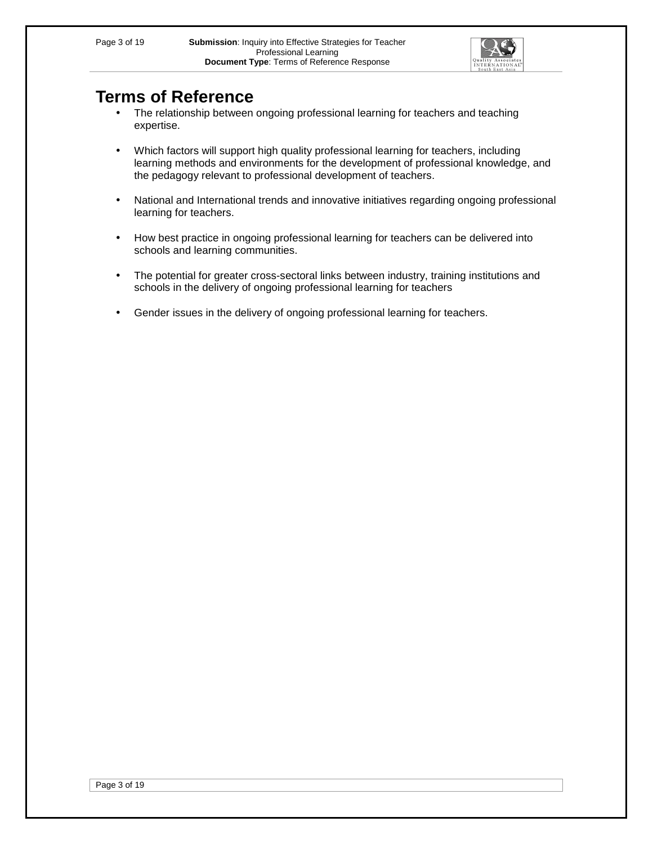

# **Terms of Reference**

- The relationship between ongoing professional learning for teachers and teaching expertise.
- Which factors will support high quality professional learning for teachers, including learning methods and environments for the development of professional knowledge, and the pedagogy relevant to professional development of teachers.
- National and International trends and innovative initiatives regarding ongoing professional learning for teachers.
- How best practice in ongoing professional learning for teachers can be delivered into schools and learning communities.
- The potential for greater cross-sectoral links between industry, training institutions and schools in the delivery of ongoing professional learning for teachers
- Gender issues in the delivery of ongoing professional learning for teachers.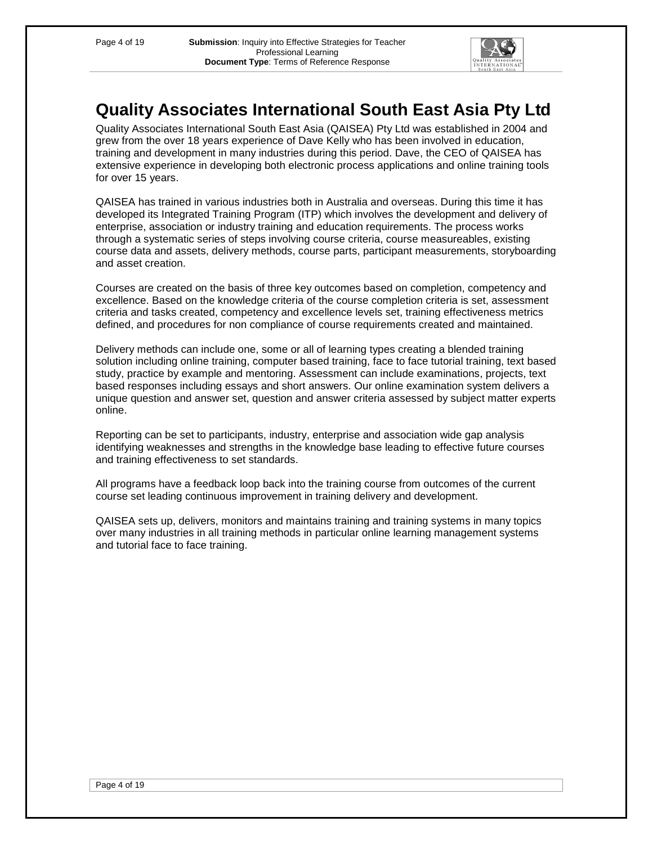

# **Quality Associates International South East Asia Pty Ltd**

Quality Associates International South East Asia (QAISEA) Pty Ltd was established in 2004 and grew from the over 18 years experience of Dave Kelly who has been involved in education, training and development in many industries during this period. Dave, the CEO of QAISEA has extensive experience in developing both electronic process applications and online training tools for over 15 years.

QAISEA has trained in various industries both in Australia and overseas. During this time it has developed its Integrated Training Program (ITP) which involves the development and delivery of enterprise, association or industry training and education requirements. The process works through a systematic series of steps involving course criteria, course measureables, existing course data and assets, delivery methods, course parts, participant measurements, storyboarding and asset creation.

Courses are created on the basis of three key outcomes based on completion, competency and excellence. Based on the knowledge criteria of the course completion criteria is set, assessment criteria and tasks created, competency and excellence levels set, training effectiveness metrics defined, and procedures for non compliance of course requirements created and maintained.

Delivery methods can include one, some or all of learning types creating a blended training solution including online training, computer based training, face to face tutorial training, text based study, practice by example and mentoring. Assessment can include examinations, projects, text based responses including essays and short answers. Our online examination system delivers a unique question and answer set, question and answer criteria assessed by subject matter experts online.

Reporting can be set to participants, industry, enterprise and association wide gap analysis identifying weaknesses and strengths in the knowledge base leading to effective future courses and training effectiveness to set standards.

All programs have a feedback loop back into the training course from outcomes of the current course set leading continuous improvement in training delivery and development.

QAISEA sets up, delivers, monitors and maintains training and training systems in many topics over many industries in all training methods in particular online learning management systems and tutorial face to face training.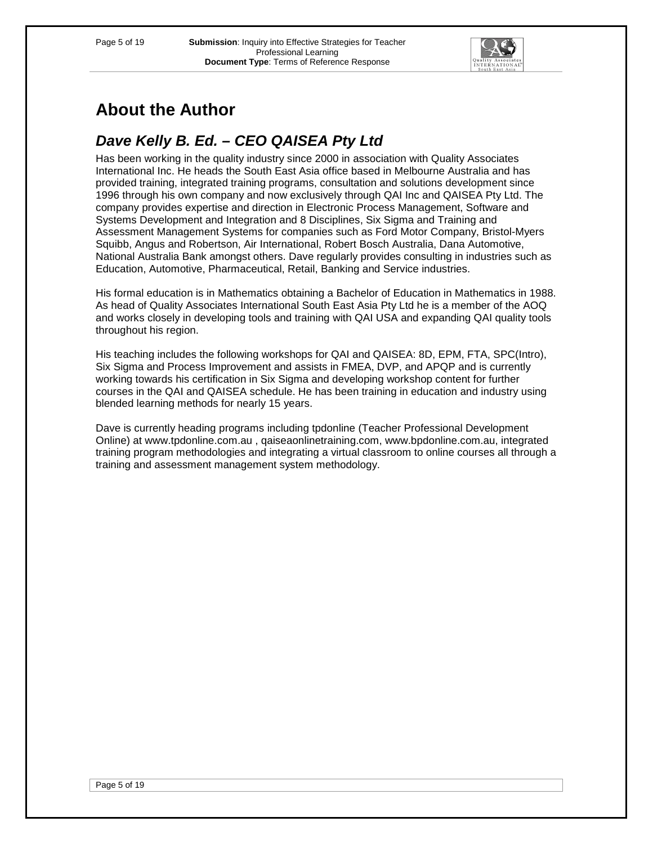

# **About the Author**

# **Dave Kelly B. Ed. – CEO QAISEA Pty Ltd**

Has been working in the quality industry since 2000 in association with Quality Associates International Inc. He heads the South East Asia office based in Melbourne Australia and has provided training, integrated training programs, consultation and solutions development since 1996 through his own company and now exclusively through QAI Inc and QAISEA Pty Ltd. The company provides expertise and direction in Electronic Process Management, Software and Systems Development and Integration and 8 Disciplines, Six Sigma and Training and Assessment Management Systems for companies such as Ford Motor Company, Bristol-Myers Squibb, Angus and Robertson, Air International, Robert Bosch Australia, Dana Automotive, National Australia Bank amongst others. Dave regularly provides consulting in industries such as Education, Automotive, Pharmaceutical, Retail, Banking and Service industries.

His formal education is in Mathematics obtaining a Bachelor of Education in Mathematics in 1988. As head of Quality Associates International South East Asia Pty Ltd he is a member of the AOQ and works closely in developing tools and training with QAI USA and expanding QAI quality tools throughout his region.

His teaching includes the following workshops for QAI and QAISEA: 8D, EPM, FTA, SPC(Intro), Six Sigma and Process Improvement and assists in FMEA, DVP, and APQP and is currently working towards his certification in Six Sigma and developing workshop content for further courses in the QAI and QAISEA schedule. He has been training in education and industry using blended learning methods for nearly 15 years.

Dave is currently heading programs including tpdonline (Teacher Professional Development Online) at www.tpdonline.com.au , qaiseaonlinetraining.com, www.bpdonline.com.au, integrated training program methodologies and integrating a virtual classroom to online courses all through a training and assessment management system methodology.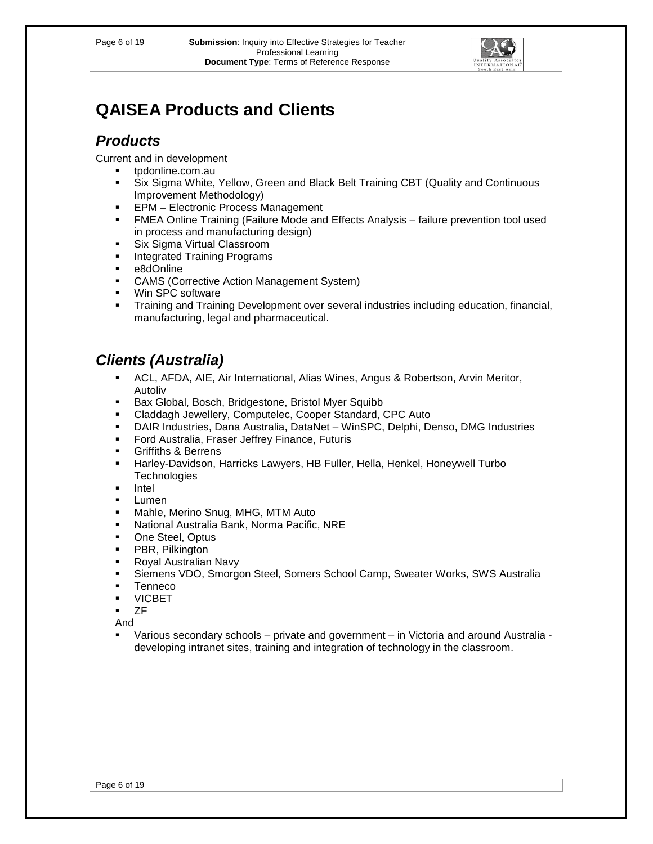

# **QAISEA Products and Clients**

# **Products**

Current and in development

- tpdonline.com.au
- Six Sigma White, Yellow, Green and Black Belt Training CBT (Quality and Continuous Improvement Methodology)
- **EPM** Electronic Process Management
- FMEA Online Training (Failure Mode and Effects Analysis failure prevention tool used in process and manufacturing design)
- **Six Sigma Virtual Classroom**
- **Integrated Training Programs**
- e8dOnline
- **EXECOMS** (Corrective Action Management System)
- **Win SPC software**
- Training and Training Development over several industries including education, financial, manufacturing, legal and pharmaceutical.

# **Clients (Australia)**

- ACL, AFDA, AIE, Air International, Alias Wines, Angus & Robertson, Arvin Meritor, Autoliv
- **Bax Global, Bosch, Bridgestone, Bristol Myer Squibb**
- Claddagh Jewellery, Computelec, Cooper Standard, CPC Auto
- DAIR Industries, Dana Australia, DataNet WinSPC, Delphi, Denso, DMG Industries
- **Ford Australia, Fraser Jeffrey Finance, Futuris**
- Griffiths & Berrens
- Harley-Davidson, Harricks Lawyers, HB Fuller, Hella, Henkel, Honeywell Turbo **Technologies**
- **Intel**
- **Lumen**
- Mahle, Merino Snug, MHG, MTM Auto
- National Australia Bank, Norma Pacific, NRE
- **•** One Steel, Optus
- **•** PBR, Pilkington
- **Royal Australian Navy**
- Siemens VDO, Smorgon Steel, Somers School Camp, Sweater Works, SWS Australia
- Tenneco
- **VICBET**
- $-ZF$
- And
- Various secondary schools private and government in Victoria and around Australia developing intranet sites, training and integration of technology in the classroom.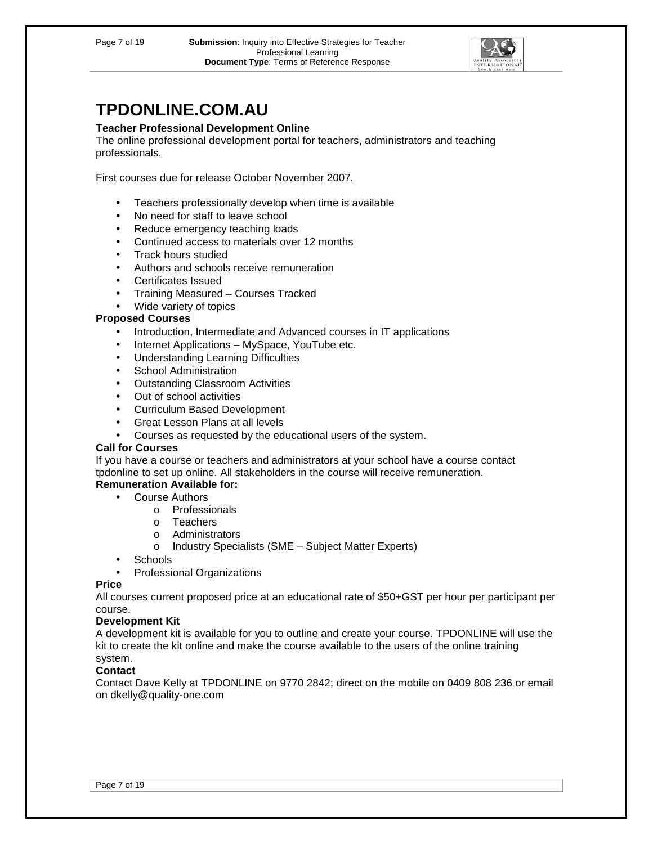

# **TPDONLINE.COM.AU**

## **Teacher Professional Development Online**

The online professional development portal for teachers, administrators and teaching professionals.

First courses due for release October November 2007.

- Teachers professionally develop when time is available
- No need for staff to leave school
- Reduce emergency teaching loads
- Continued access to materials over 12 months
- Track hours studied
- Authors and schools receive remuneration
- Certificates Issued
- Training Measured Courses Tracked
- Wide variety of topics

#### **Proposed Courses**

- Introduction, Intermediate and Advanced courses in IT applications
- Internet Applications MySpace, YouTube etc.
- Understanding Learning Difficulties
- School Administration
- Outstanding Classroom Activities
- Out of school activities
- Curriculum Based Development
- Great Lesson Plans at all levels
- Courses as requested by the educational users of the system.

#### **Call for Courses**

If you have a course or teachers and administrators at your school have a course contact tpdonline to set up online. All stakeholders in the course will receive remuneration.

## **Remuneration Available for:**

- **Course Authors** 
	- o Professionals
	- o Teachers
	- o Administrators
	- o Industry Specialists (SME Subject Matter Experts)
- Schools
- Professional Organizations

#### **Price**

All courses current proposed price at an educational rate of \$50+GST per hour per participant per course.

## **Development Kit**

A development kit is available for you to outline and create your course. TPDONLINE will use the kit to create the kit online and make the course available to the users of the online training system.

## **Contact**

Contact Dave Kelly at TPDONLINE on 9770 2842; direct on the mobile on 0409 808 236 or email on dkelly@quality-one.com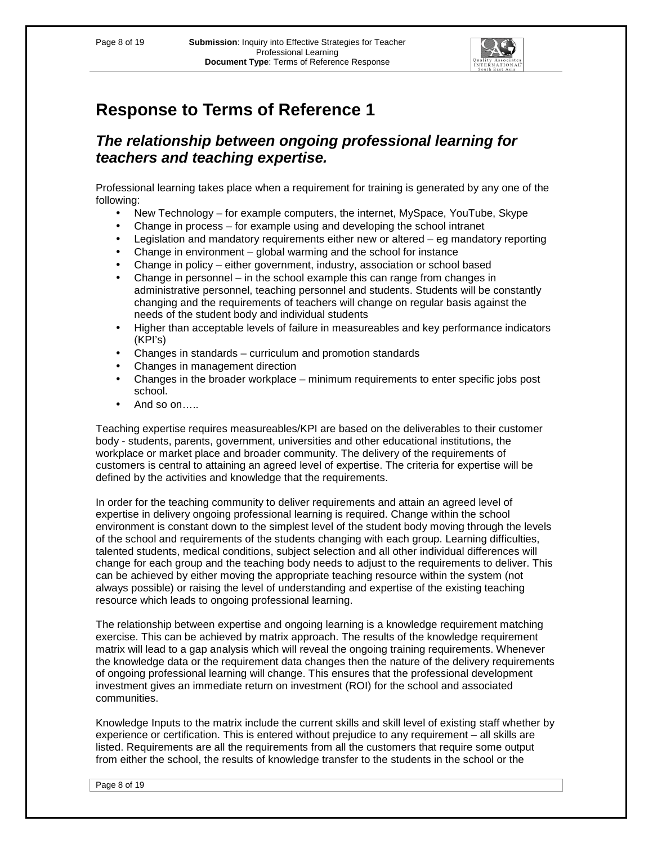

## **The relationship between ongoing professional learning for teachers and teaching expertise.**

Professional learning takes place when a requirement for training is generated by any one of the following:

- New Technology for example computers, the internet, MySpace, YouTube, Skype
- Change in process for example using and developing the school intranet
- Legislation and mandatory requirements either new or altered eg mandatory reporting
- Change in environment global warming and the school for instance
- Change in policy either government, industry, association or school based
- Change in personnel in the school example this can range from changes in administrative personnel, teaching personnel and students. Students will be constantly changing and the requirements of teachers will change on regular basis against the needs of the student body and individual students
- Higher than acceptable levels of failure in measureables and key performance indicators (KPI's)
- Changes in standards curriculum and promotion standards
- Changes in management direction
- Changes in the broader workplace minimum requirements to enter specific jobs post school.
- And so on…..

Teaching expertise requires measureables/KPI are based on the deliverables to their customer body - students, parents, government, universities and other educational institutions, the workplace or market place and broader community. The delivery of the requirements of customers is central to attaining an agreed level of expertise. The criteria for expertise will be defined by the activities and knowledge that the requirements.

In order for the teaching community to deliver requirements and attain an agreed level of expertise in delivery ongoing professional learning is required. Change within the school environment is constant down to the simplest level of the student body moving through the levels of the school and requirements of the students changing with each group. Learning difficulties, talented students, medical conditions, subject selection and all other individual differences will change for each group and the teaching body needs to adjust to the requirements to deliver. This can be achieved by either moving the appropriate teaching resource within the system (not always possible) or raising the level of understanding and expertise of the existing teaching resource which leads to ongoing professional learning.

The relationship between expertise and ongoing learning is a knowledge requirement matching exercise. This can be achieved by matrix approach. The results of the knowledge requirement matrix will lead to a gap analysis which will reveal the ongoing training requirements. Whenever the knowledge data or the requirement data changes then the nature of the delivery requirements of ongoing professional learning will change. This ensures that the professional development investment gives an immediate return on investment (ROI) for the school and associated communities.

Knowledge Inputs to the matrix include the current skills and skill level of existing staff whether by experience or certification. This is entered without prejudice to any requirement – all skills are listed. Requirements are all the requirements from all the customers that require some output from either the school, the results of knowledge transfer to the students in the school or the

Page 8 of 19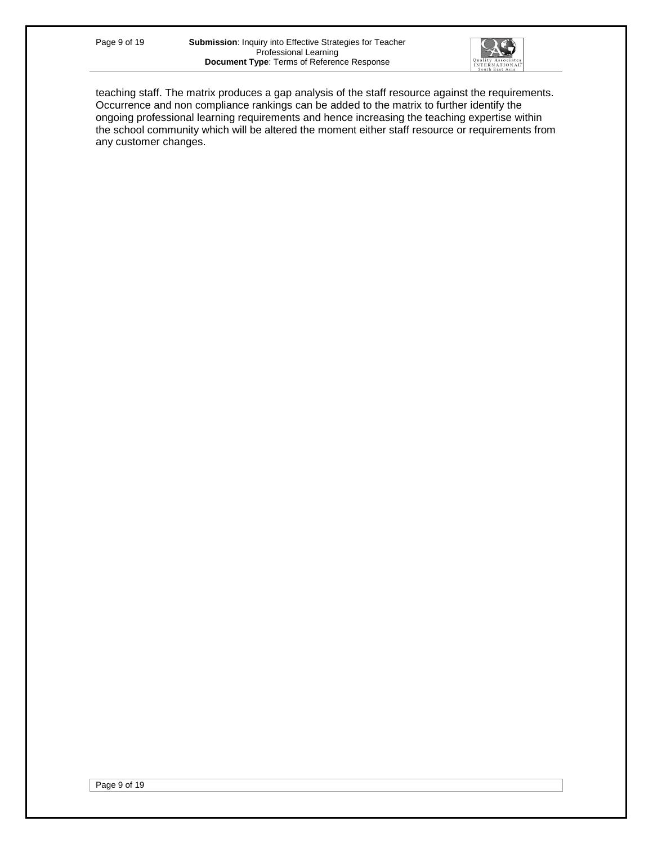

teaching staff. The matrix produces a gap analysis of the staff resource against the requirements. Occurrence and non compliance rankings can be added to the matrix to further identify the ongoing professional learning requirements and hence increasing the teaching expertise within the school community which will be altered the moment either staff resource or requirements from any customer changes.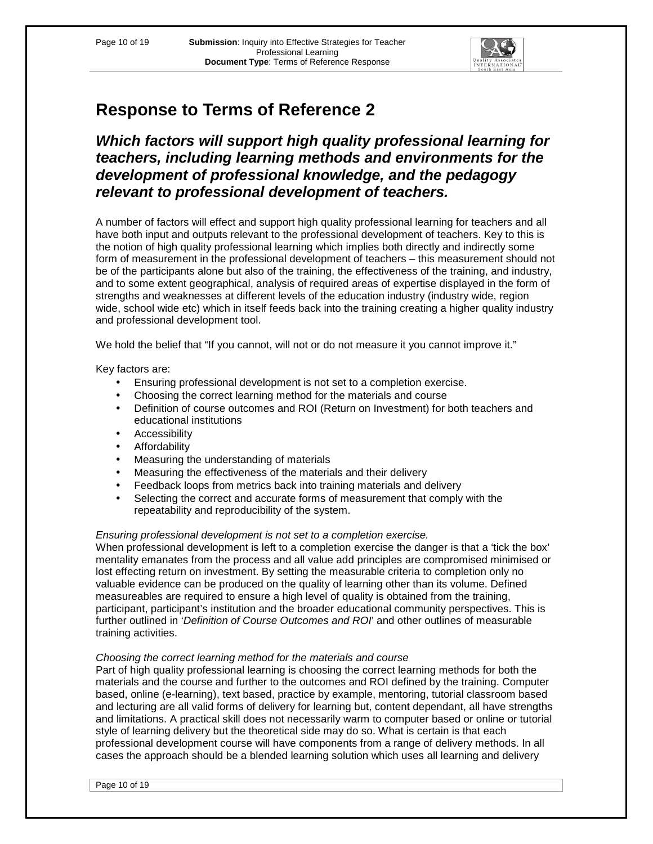

# **Which factors will support high quality professional learning for teachers, including learning methods and environments for the development of professional knowledge, and the pedagogy relevant to professional development of teachers.**

A number of factors will effect and support high quality professional learning for teachers and all have both input and outputs relevant to the professional development of teachers. Key to this is the notion of high quality professional learning which implies both directly and indirectly some form of measurement in the professional development of teachers – this measurement should not be of the participants alone but also of the training, the effectiveness of the training, and industry, and to some extent geographical, analysis of required areas of expertise displayed in the form of strengths and weaknesses at different levels of the education industry (industry wide, region wide, school wide etc) which in itself feeds back into the training creating a higher quality industry and professional development tool.

We hold the belief that "If you cannot, will not or do not measure it you cannot improve it."

## Key factors are:

- Ensuring professional development is not set to a completion exercise.
- Choosing the correct learning method for the materials and course
- Definition of course outcomes and ROI (Return on Investment) for both teachers and educational institutions
- Accessibility
- Affordability
- Measuring the understanding of materials
- Measuring the effectiveness of the materials and their delivery
- Feedback loops from metrics back into training materials and delivery
- Selecting the correct and accurate forms of measurement that comply with the repeatability and reproducibility of the system.

## Ensuring professional development is not set to a completion exercise.

When professional development is left to a completion exercise the danger is that a 'tick the box' mentality emanates from the process and all value add principles are compromised minimised or lost effecting return on investment. By setting the measurable criteria to completion only no valuable evidence can be produced on the quality of learning other than its volume. Defined measureables are required to ensure a high level of quality is obtained from the training, participant, participant's institution and the broader educational community perspectives. This is further outlined in 'Definition of Course Outcomes and ROI' and other outlines of measurable training activities.

## Choosing the correct learning method for the materials and course

Part of high quality professional learning is choosing the correct learning methods for both the materials and the course and further to the outcomes and ROI defined by the training. Computer based, online (e-learning), text based, practice by example, mentoring, tutorial classroom based and lecturing are all valid forms of delivery for learning but, content dependant, all have strengths and limitations. A practical skill does not necessarily warm to computer based or online or tutorial style of learning delivery but the theoretical side may do so. What is certain is that each professional development course will have components from a range of delivery methods. In all cases the approach should be a blended learning solution which uses all learning and delivery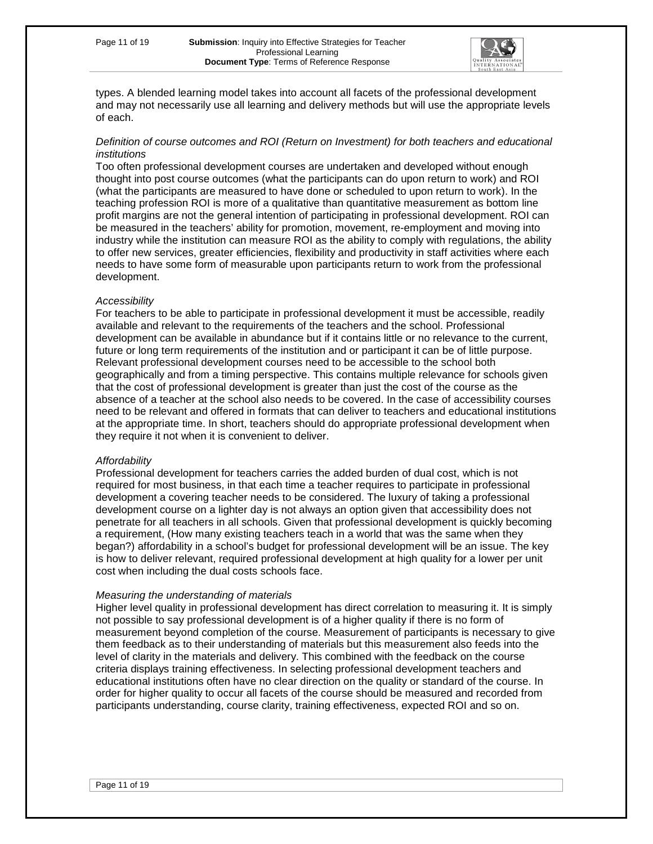

types. A blended learning model takes into account all facets of the professional development and may not necessarily use all learning and delivery methods but will use the appropriate levels of each.

## Definition of course outcomes and ROI (Return on Investment) for both teachers and educational institutions

Too often professional development courses are undertaken and developed without enough thought into post course outcomes (what the participants can do upon return to work) and ROI (what the participants are measured to have done or scheduled to upon return to work). In the teaching profession ROI is more of a qualitative than quantitative measurement as bottom line profit margins are not the general intention of participating in professional development. ROI can be measured in the teachers' ability for promotion, movement, re-employment and moving into industry while the institution can measure ROI as the ability to comply with regulations, the ability to offer new services, greater efficiencies, flexibility and productivity in staff activities where each needs to have some form of measurable upon participants return to work from the professional development.

## **Accessibility**

For teachers to be able to participate in professional development it must be accessible, readily available and relevant to the requirements of the teachers and the school. Professional development can be available in abundance but if it contains little or no relevance to the current, future or long term requirements of the institution and or participant it can be of little purpose. Relevant professional development courses need to be accessible to the school both geographically and from a timing perspective. This contains multiple relevance for schools given that the cost of professional development is greater than just the cost of the course as the absence of a teacher at the school also needs to be covered. In the case of accessibility courses need to be relevant and offered in formats that can deliver to teachers and educational institutions at the appropriate time. In short, teachers should do appropriate professional development when they require it not when it is convenient to deliver.

## **Affordability**

Professional development for teachers carries the added burden of dual cost, which is not required for most business, in that each time a teacher requires to participate in professional development a covering teacher needs to be considered. The luxury of taking a professional development course on a lighter day is not always an option given that accessibility does not penetrate for all teachers in all schools. Given that professional development is quickly becoming a requirement, (How many existing teachers teach in a world that was the same when they began?) affordability in a school's budget for professional development will be an issue. The key is how to deliver relevant, required professional development at high quality for a lower per unit cost when including the dual costs schools face.

#### Measuring the understanding of materials

Higher level quality in professional development has direct correlation to measuring it. It is simply not possible to say professional development is of a higher quality if there is no form of measurement beyond completion of the course. Measurement of participants is necessary to give them feedback as to their understanding of materials but this measurement also feeds into the level of clarity in the materials and delivery. This combined with the feedback on the course criteria displays training effectiveness. In selecting professional development teachers and educational institutions often have no clear direction on the quality or standard of the course. In order for higher quality to occur all facets of the course should be measured and recorded from participants understanding, course clarity, training effectiveness, expected ROI and so on.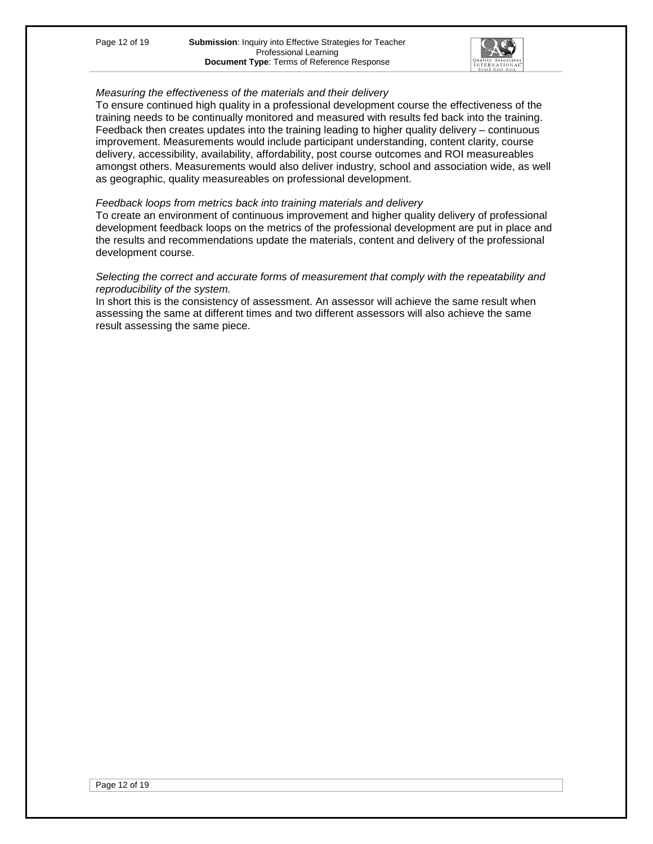

## Measuring the effectiveness of the materials and their delivery

To ensure continued high quality in a professional development course the effectiveness of the training needs to be continually monitored and measured with results fed back into the training. Feedback then creates updates into the training leading to higher quality delivery – continuous improvement. Measurements would include participant understanding, content clarity, course delivery, accessibility, availability, affordability, post course outcomes and ROI measureables amongst others. Measurements would also deliver industry, school and association wide, as well as geographic, quality measureables on professional development.

#### Feedback loops from metrics back into training materials and delivery

To create an environment of continuous improvement and higher quality delivery of professional development feedback loops on the metrics of the professional development are put in place and the results and recommendations update the materials, content and delivery of the professional development course.

#### Selecting the correct and accurate forms of measurement that comply with the repeatability and reproducibility of the system.

In short this is the consistency of assessment. An assessor will achieve the same result when assessing the same at different times and two different assessors will also achieve the same result assessing the same piece.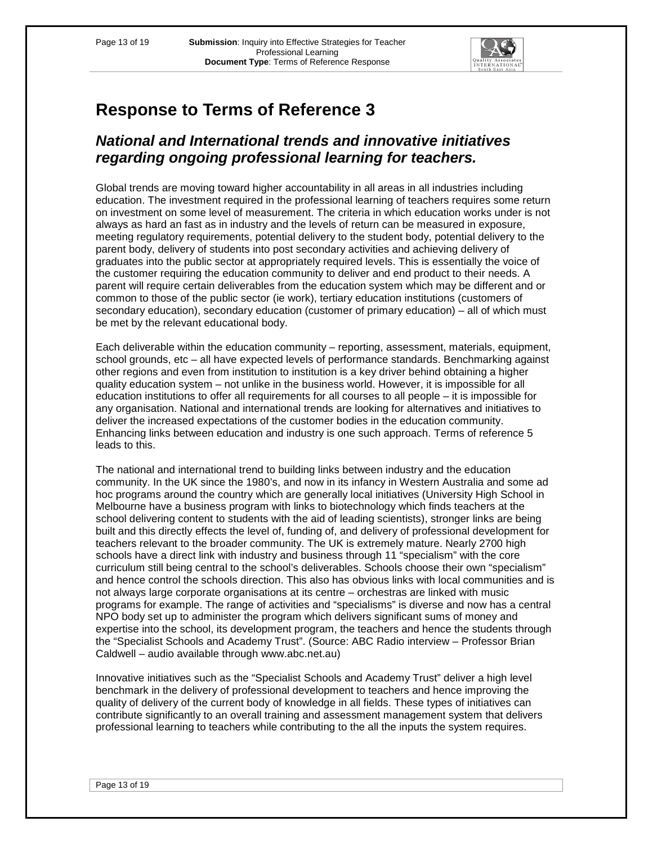

## **National and International trends and innovative initiatives regarding ongoing professional learning for teachers.**

Global trends are moving toward higher accountability in all areas in all industries including education. The investment required in the professional learning of teachers requires some return on investment on some level of measurement. The criteria in which education works under is not always as hard an fast as in industry and the levels of return can be measured in exposure, meeting regulatory requirements, potential delivery to the student body, potential delivery to the parent body, delivery of students into post secondary activities and achieving delivery of graduates into the public sector at appropriately required levels. This is essentially the voice of the customer requiring the education community to deliver and end product to their needs. A parent will require certain deliverables from the education system which may be different and or common to those of the public sector (ie work), tertiary education institutions (customers of secondary education), secondary education (customer of primary education) – all of which must be met by the relevant educational body.

Each deliverable within the education community – reporting, assessment, materials, equipment, school grounds, etc – all have expected levels of performance standards. Benchmarking against other regions and even from institution to institution is a key driver behind obtaining a higher quality education system – not unlike in the business world. However, it is impossible for all education institutions to offer all requirements for all courses to all people – it is impossible for any organisation. National and international trends are looking for alternatives and initiatives to deliver the increased expectations of the customer bodies in the education community. Enhancing links between education and industry is one such approach. Terms of reference 5 leads to this.

The national and international trend to building links between industry and the education community. In the UK since the 1980's, and now in its infancy in Western Australia and some ad hoc programs around the country which are generally local initiatives (University High School in Melbourne have a business program with links to biotechnology which finds teachers at the school delivering content to students with the aid of leading scientists), stronger links are being built and this directly effects the level of, funding of, and delivery of professional development for teachers relevant to the broader community. The UK is extremely mature. Nearly 2700 high schools have a direct link with industry and business through 11 "specialism" with the core curriculum still being central to the school's deliverables. Schools choose their own "specialism" and hence control the schools direction. This also has obvious links with local communities and is not always large corporate organisations at its centre – orchestras are linked with music programs for example. The range of activities and "specialisms" is diverse and now has a central NPO body set up to administer the program which delivers significant sums of money and expertise into the school, its development program, the teachers and hence the students through the "Specialist Schools and Academy Trust". (Source: ABC Radio interview – Professor Brian Caldwell – audio available through www.abc.net.au)

Innovative initiatives such as the "Specialist Schools and Academy Trust" deliver a high level benchmark in the delivery of professional development to teachers and hence improving the quality of delivery of the current body of knowledge in all fields. These types of initiatives can contribute significantly to an overall training and assessment management system that delivers professional learning to teachers while contributing to the all the inputs the system requires.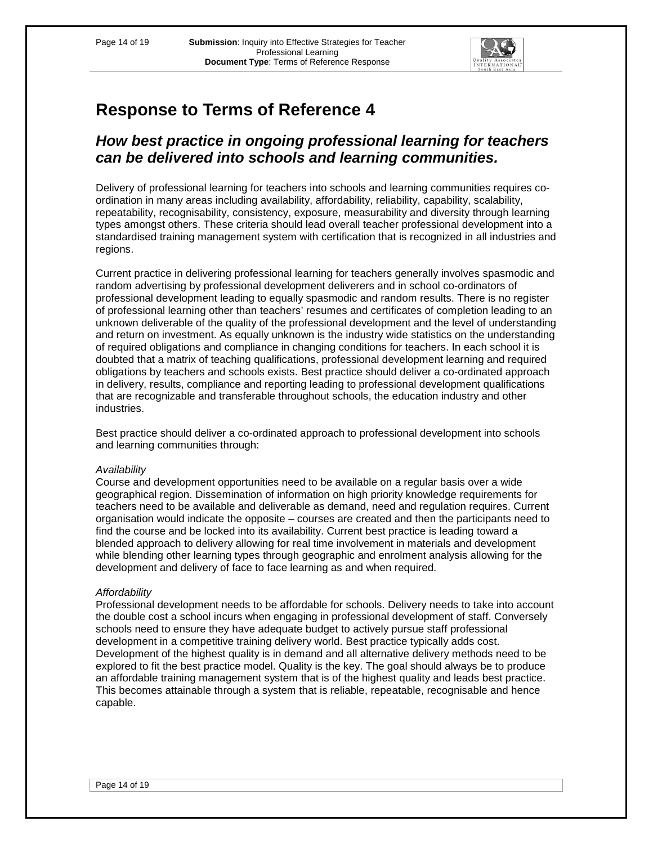

## **How best practice in ongoing professional learning for teachers can be delivered into schools and learning communities.**

Delivery of professional learning for teachers into schools and learning communities requires coordination in many areas including availability, affordability, reliability, capability, scalability, repeatability, recognisability, consistency, exposure, measurability and diversity through learning types amongst others. These criteria should lead overall teacher professional development into a standardised training management system with certification that is recognized in all industries and regions.

Current practice in delivering professional learning for teachers generally involves spasmodic and random advertising by professional development deliverers and in school co-ordinators of professional development leading to equally spasmodic and random results. There is no register of professional learning other than teachers' resumes and certificates of completion leading to an unknown deliverable of the quality of the professional development and the level of understanding and return on investment. As equally unknown is the industry wide statistics on the understanding of required obligations and compliance in changing conditions for teachers. In each school it is doubted that a matrix of teaching qualifications, professional development learning and required obligations by teachers and schools exists. Best practice should deliver a co-ordinated approach in delivery, results, compliance and reporting leading to professional development qualifications that are recognizable and transferable throughout schools, the education industry and other industries.

Best practice should deliver a co-ordinated approach to professional development into schools and learning communities through:

## **Availability**

Course and development opportunities need to be available on a regular basis over a wide geographical region. Dissemination of information on high priority knowledge requirements for teachers need to be available and deliverable as demand, need and regulation requires. Current organisation would indicate the opposite – courses are created and then the participants need to find the course and be locked into its availability. Current best practice is leading toward a blended approach to delivery allowing for real time involvement in materials and development while blending other learning types through geographic and enrolment analysis allowing for the development and delivery of face to face learning as and when required.

## **Affordability**

Professional development needs to be affordable for schools. Delivery needs to take into account the double cost a school incurs when engaging in professional development of staff. Conversely schools need to ensure they have adequate budget to actively pursue staff professional development in a competitive training delivery world. Best practice typically adds cost. Development of the highest quality is in demand and all alternative delivery methods need to be explored to fit the best practice model. Quality is the key. The goal should always be to produce an affordable training management system that is of the highest quality and leads best practice. This becomes attainable through a system that is reliable, repeatable, recognisable and hence capable.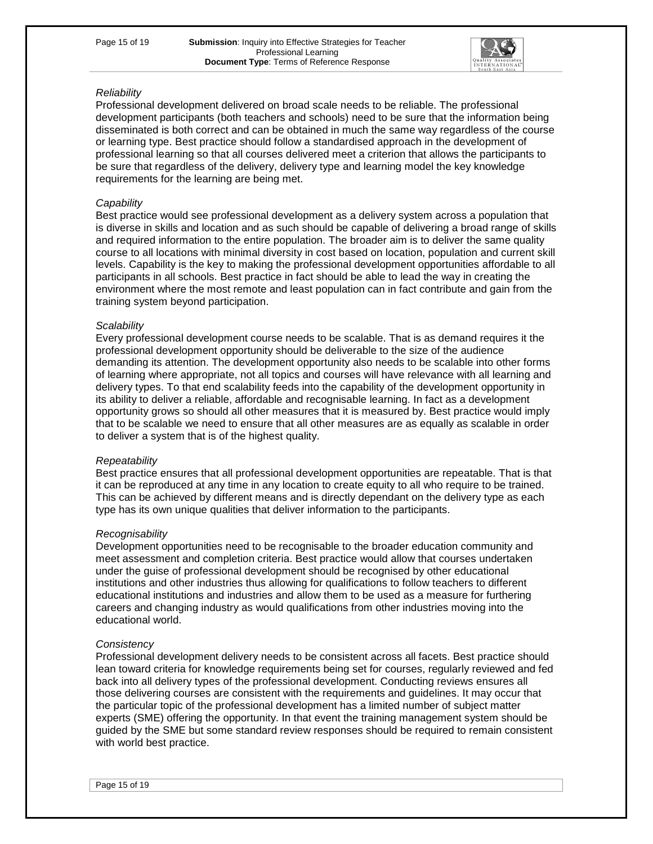

## **Reliability**

Professional development delivered on broad scale needs to be reliable. The professional development participants (both teachers and schools) need to be sure that the information being disseminated is both correct and can be obtained in much the same way regardless of the course or learning type. Best practice should follow a standardised approach in the development of professional learning so that all courses delivered meet a criterion that allows the participants to be sure that regardless of the delivery, delivery type and learning model the key knowledge requirements for the learning are being met.

#### **Capability**

Best practice would see professional development as a delivery system across a population that is diverse in skills and location and as such should be capable of delivering a broad range of skills and required information to the entire population. The broader aim is to deliver the same quality course to all locations with minimal diversity in cost based on location, population and current skill levels. Capability is the key to making the professional development opportunities affordable to all participants in all schools. Best practice in fact should be able to lead the way in creating the environment where the most remote and least population can in fact contribute and gain from the training system beyond participation.

#### **Scalability**

Every professional development course needs to be scalable. That is as demand requires it the professional development opportunity should be deliverable to the size of the audience demanding its attention. The development opportunity also needs to be scalable into other forms of learning where appropriate, not all topics and courses will have relevance with all learning and delivery types. To that end scalability feeds into the capability of the development opportunity in its ability to deliver a reliable, affordable and recognisable learning. In fact as a development opportunity grows so should all other measures that it is measured by. Best practice would imply that to be scalable we need to ensure that all other measures are as equally as scalable in order to deliver a system that is of the highest quality.

## **Repeatability**

Best practice ensures that all professional development opportunities are repeatable. That is that it can be reproduced at any time in any location to create equity to all who require to be trained. This can be achieved by different means and is directly dependant on the delivery type as each type has its own unique qualities that deliver information to the participants.

## **Recognisability**

Development opportunities need to be recognisable to the broader education community and meet assessment and completion criteria. Best practice would allow that courses undertaken under the guise of professional development should be recognised by other educational institutions and other industries thus allowing for qualifications to follow teachers to different educational institutions and industries and allow them to be used as a measure for furthering careers and changing industry as would qualifications from other industries moving into the educational world.

#### **Consistency**

Professional development delivery needs to be consistent across all facets. Best practice should lean toward criteria for knowledge requirements being set for courses, regularly reviewed and fed back into all delivery types of the professional development. Conducting reviews ensures all those delivering courses are consistent with the requirements and guidelines. It may occur that the particular topic of the professional development has a limited number of subject matter experts (SME) offering the opportunity. In that event the training management system should be guided by the SME but some standard review responses should be required to remain consistent with world best practice.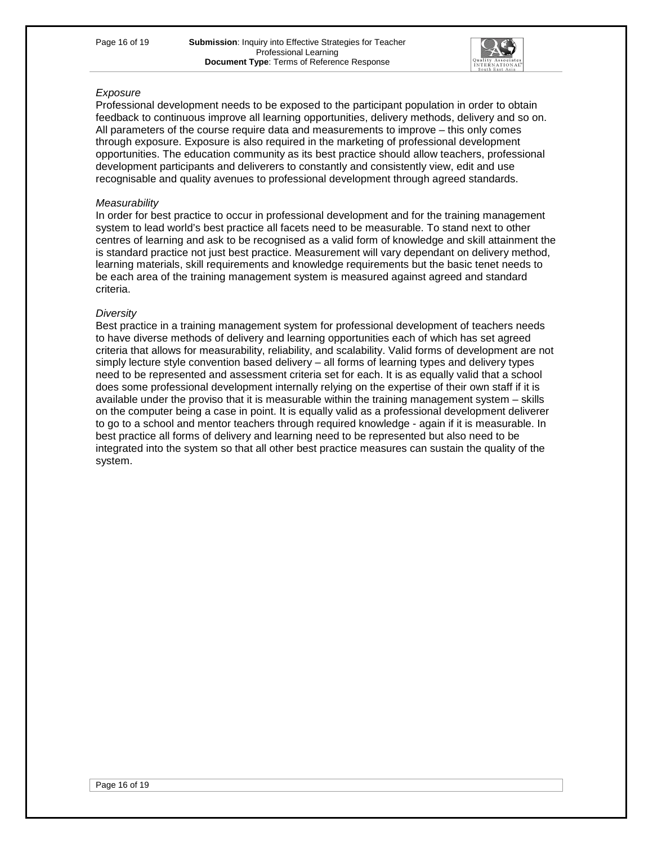

## Exposure

Professional development needs to be exposed to the participant population in order to obtain feedback to continuous improve all learning opportunities, delivery methods, delivery and so on. All parameters of the course require data and measurements to improve – this only comes through exposure. Exposure is also required in the marketing of professional development opportunities. The education community as its best practice should allow teachers, professional development participants and deliverers to constantly and consistently view, edit and use recognisable and quality avenues to professional development through agreed standards.

#### **Measurability**

In order for best practice to occur in professional development and for the training management system to lead world's best practice all facets need to be measurable. To stand next to other centres of learning and ask to be recognised as a valid form of knowledge and skill attainment the is standard practice not just best practice. Measurement will vary dependant on delivery method, learning materials, skill requirements and knowledge requirements but the basic tenet needs to be each area of the training management system is measured against agreed and standard criteria.

#### **Diversity**

Best practice in a training management system for professional development of teachers needs to have diverse methods of delivery and learning opportunities each of which has set agreed criteria that allows for measurability, reliability, and scalability. Valid forms of development are not simply lecture style convention based delivery – all forms of learning types and delivery types need to be represented and assessment criteria set for each. It is as equally valid that a school does some professional development internally relying on the expertise of their own staff if it is available under the proviso that it is measurable within the training management system – skills on the computer being a case in point. It is equally valid as a professional development deliverer to go to a school and mentor teachers through required knowledge - again if it is measurable. In best practice all forms of delivery and learning need to be represented but also need to be integrated into the system so that all other best practice measures can sustain the quality of the system.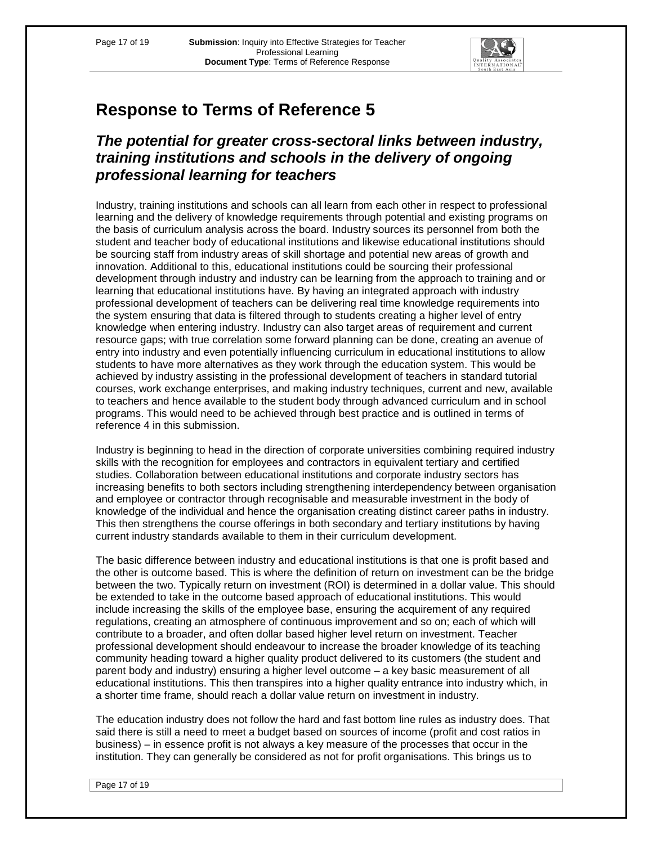

## **The potential for greater cross-sectoral links between industry, training institutions and schools in the delivery of ongoing professional learning for teachers**

Industry, training institutions and schools can all learn from each other in respect to professional learning and the delivery of knowledge requirements through potential and existing programs on the basis of curriculum analysis across the board. Industry sources its personnel from both the student and teacher body of educational institutions and likewise educational institutions should be sourcing staff from industry areas of skill shortage and potential new areas of growth and innovation. Additional to this, educational institutions could be sourcing their professional development through industry and industry can be learning from the approach to training and or learning that educational institutions have. By having an integrated approach with industry professional development of teachers can be delivering real time knowledge requirements into the system ensuring that data is filtered through to students creating a higher level of entry knowledge when entering industry. Industry can also target areas of requirement and current resource gaps; with true correlation some forward planning can be done, creating an avenue of entry into industry and even potentially influencing curriculum in educational institutions to allow students to have more alternatives as they work through the education system. This would be achieved by industry assisting in the professional development of teachers in standard tutorial courses, work exchange enterprises, and making industry techniques, current and new, available to teachers and hence available to the student body through advanced curriculum and in school programs. This would need to be achieved through best practice and is outlined in terms of reference 4 in this submission.

Industry is beginning to head in the direction of corporate universities combining required industry skills with the recognition for employees and contractors in equivalent tertiary and certified studies. Collaboration between educational institutions and corporate industry sectors has increasing benefits to both sectors including strengthening interdependency between organisation and employee or contractor through recognisable and measurable investment in the body of knowledge of the individual and hence the organisation creating distinct career paths in industry. This then strengthens the course offerings in both secondary and tertiary institutions by having current industry standards available to them in their curriculum development.

The basic difference between industry and educational institutions is that one is profit based and the other is outcome based. This is where the definition of return on investment can be the bridge between the two. Typically return on investment (ROI) is determined in a dollar value. This should be extended to take in the outcome based approach of educational institutions. This would include increasing the skills of the employee base, ensuring the acquirement of any required regulations, creating an atmosphere of continuous improvement and so on; each of which will contribute to a broader, and often dollar based higher level return on investment. Teacher professional development should endeavour to increase the broader knowledge of its teaching community heading toward a higher quality product delivered to its customers (the student and parent body and industry) ensuring a higher level outcome – a key basic measurement of all educational institutions. This then transpires into a higher quality entrance into industry which, in a shorter time frame, should reach a dollar value return on investment in industry.

The education industry does not follow the hard and fast bottom line rules as industry does. That said there is still a need to meet a budget based on sources of income (profit and cost ratios in business) – in essence profit is not always a key measure of the processes that occur in the institution. They can generally be considered as not for profit organisations. This brings us to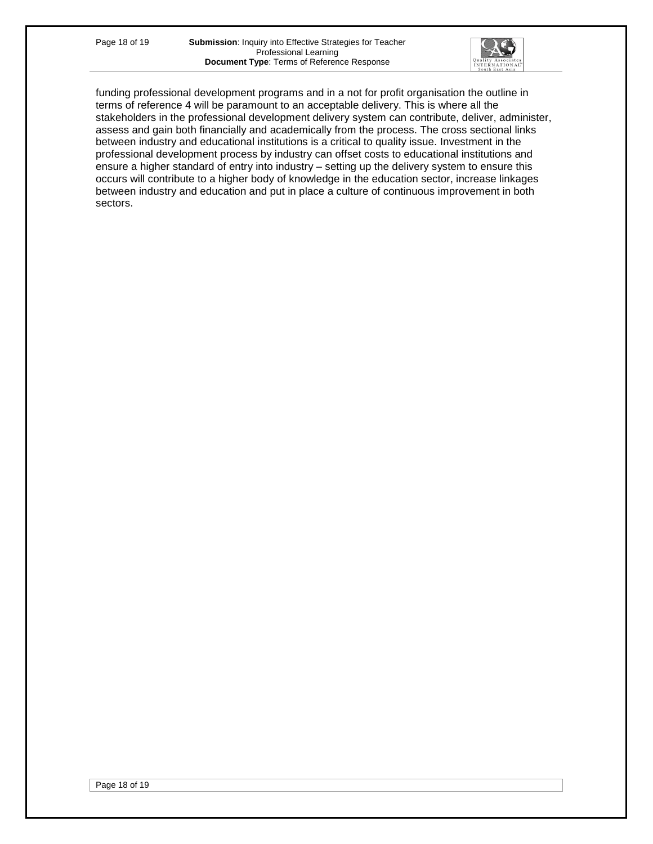

funding professional development programs and in a not for profit organisation the outline in terms of reference 4 will be paramount to an acceptable delivery. This is where all the stakeholders in the professional development delivery system can contribute, deliver, administer, assess and gain both financially and academically from the process. The cross sectional links between industry and educational institutions is a critical to quality issue. Investment in the professional development process by industry can offset costs to educational institutions and ensure a higher standard of entry into industry – setting up the delivery system to ensure this occurs will contribute to a higher body of knowledge in the education sector, increase linkages between industry and education and put in place a culture of continuous improvement in both sectors.